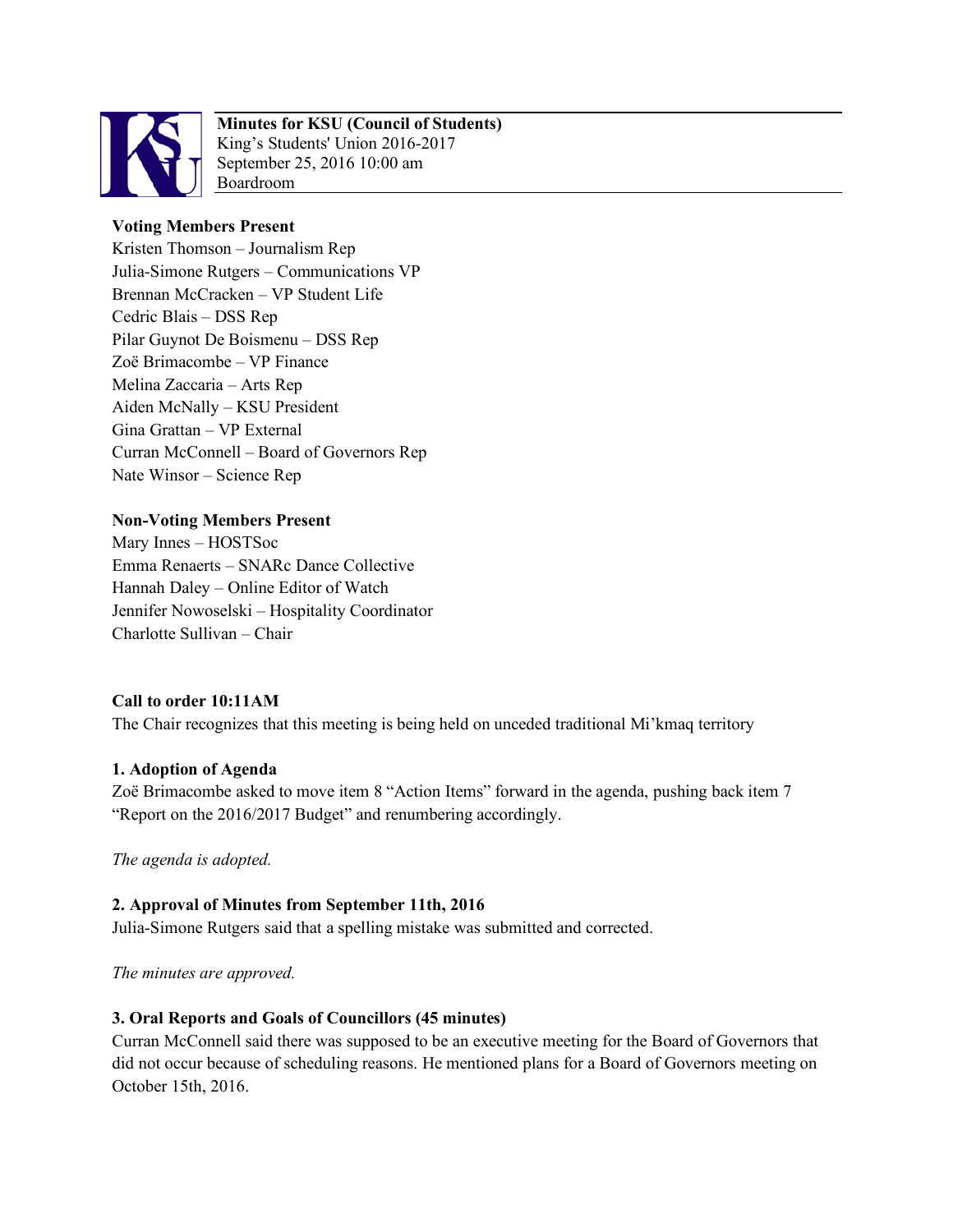

# **Minutes for KSU (Council of Students)**

King's Students' Union 2016-2017 September 25, 2016 10:00 am Boardroom

## **Voting Members Present**

Kristen Thomson – Journalism Rep Julia-Simone Rutgers – Communications VP Brennan McCracken – VP Student Life Cedric Blais – DSS Rep Pilar Guynot De Boismenu – DSS Rep Zoë Brimacombe – VP Finance Melina Zaccaria – Arts Rep Aiden McNally – KSU President Gina Grattan – VP External Curran McConnell – Board of Governors Rep Nate Winsor – Science Rep

## **Non-Voting Members Present**

Mary Innes – HOSTSoc Emma Renaerts – SNARc Dance Collective Hannah Daley – Online Editor of Watch Jennifer Nowoselski – Hospitality Coordinator Charlotte Sullivan – Chair

## **Call to order 10:11AM**

The Chair recognizes that this meeting is being held on unceded traditional Mi'kmaq territory

## **1. Adoption of Agenda**

Zoë Brimacombe asked to move item 8 "Action Items" forward in the agenda, pushing back item 7 "Report on the 2016/2017 Budget" and renumbering accordingly.

*The agenda is adopted.* 

### **2. Approval of Minutes from September 11th, 2016**

Julia-Simone Rutgers said that a spelling mistake was submitted and corrected.

*The minutes are approved.* 

### **3. Oral Reports and Goals of Councillors (45 minutes)**

Curran McConnell said there was supposed to be an executive meeting for the Board of Governors that did not occur because of scheduling reasons. He mentioned plans for a Board of Governors meeting on October 15th, 2016.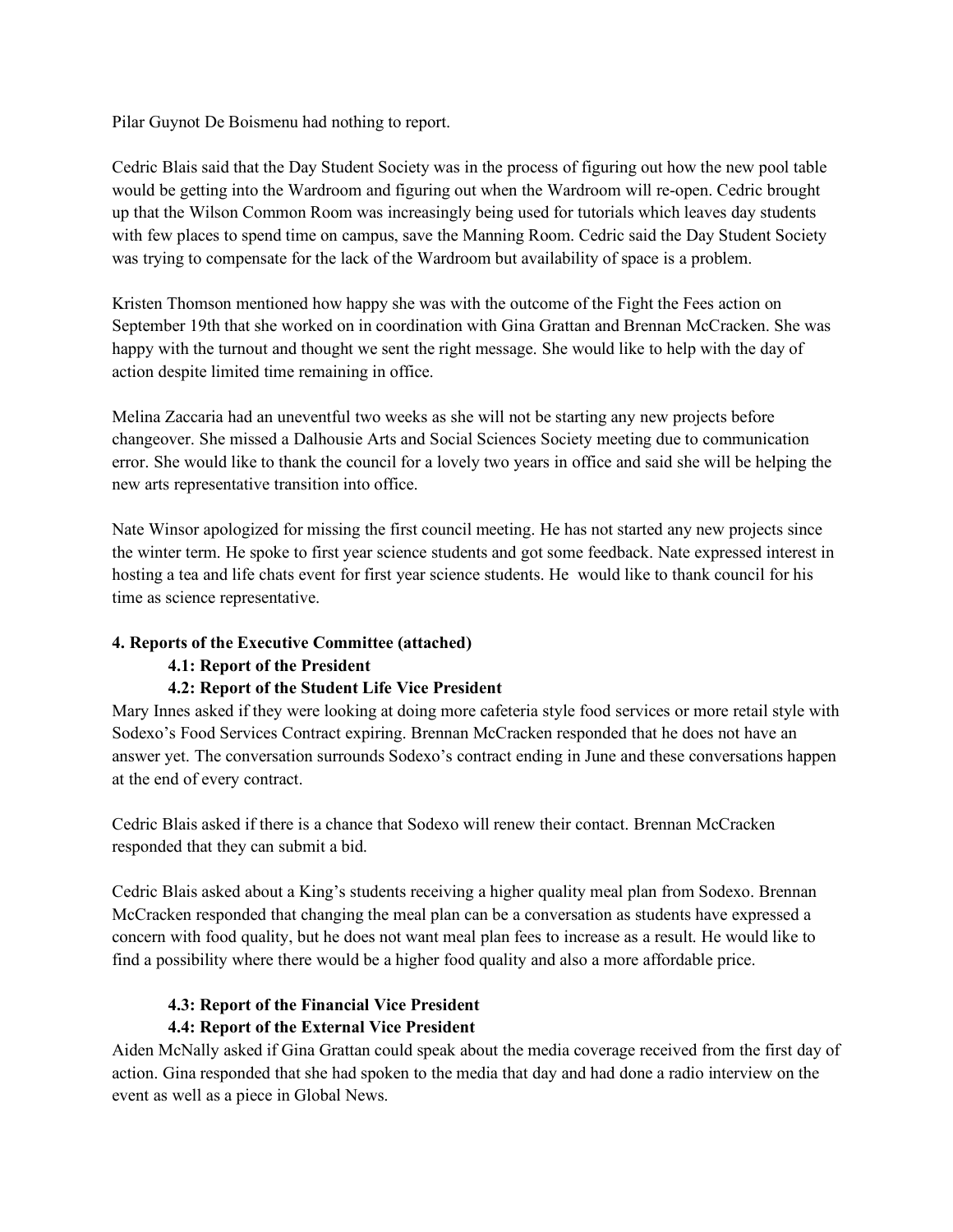Pilar Guynot De Boismenu had nothing to report.

Cedric Blais said that the Day Student Society was in the process of figuring out how the new pool table would be getting into the Wardroom and figuring out when the Wardroom will re-open. Cedric brought up that the Wilson Common Room was increasingly being used for tutorials which leaves day students with few places to spend time on campus, save the Manning Room. Cedric said the Day Student Society was trying to compensate for the lack of the Wardroom but availability of space is a problem.

Kristen Thomson mentioned how happy she was with the outcome of the Fight the Fees action on September 19th that she worked on in coordination with Gina Grattan and Brennan McCracken. She was happy with the turnout and thought we sent the right message. She would like to help with the day of action despite limited time remaining in office.

Melina Zaccaria had an uneventful two weeks as she will not be starting any new projects before changeover. She missed a Dalhousie Arts and Social Sciences Society meeting due to communication error. She would like to thank the council for a lovely two years in office and said she will be helping the new arts representative transition into office.

Nate Winsor apologized for missing the first council meeting. He has not started any new projects since the winter term. He spoke to first year science students and got some feedback. Nate expressed interest in hosting a tea and life chats event for first year science students. He would like to thank council for his time as science representative.

### **4. Reports of the Executive Committee (attached)**

### **4.1: Report of the President**

## **4.2: Report of the Student Life Vice President**

Mary Innes asked if they were looking at doing more cafeteria style food services or more retail style with Sodexo's Food Services Contract expiring. Brennan McCracken responded that he does not have an answer yet. The conversation surrounds Sodexo's contract ending in June and these conversations happen at the end of every contract.

Cedric Blais asked if there is a chance that Sodexo will renew their contact. Brennan McCracken responded that they can submit a bid.

Cedric Blais asked about a King's students receiving a higher quality meal plan from Sodexo. Brennan McCracken responded that changing the meal plan can be a conversation as students have expressed a concern with food quality, but he does not want meal plan fees to increase as a result. He would like to find a possibility where there would be a higher food quality and also a more affordable price.

### **4.3: Report of the Financial Vice President 4.4: Report of the External Vice President**

Aiden McNally asked if Gina Grattan could speak about the media coverage received from the first day of action. Gina responded that she had spoken to the media that day and had done a radio interview on the event as well as a piece in Global News.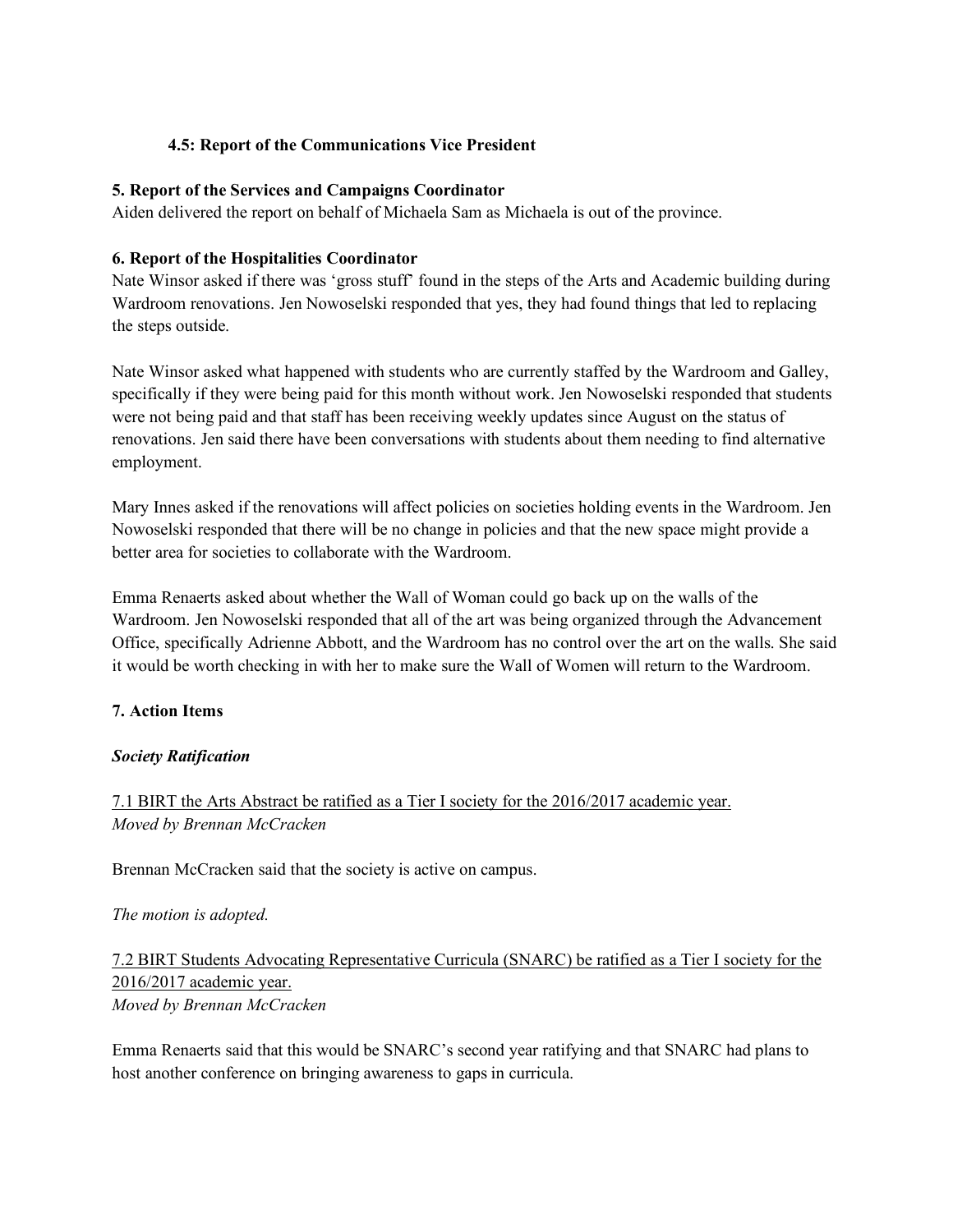### **4.5: Report of the Communications Vice President**

#### **5. Report of the Services and Campaigns Coordinator**

Aiden delivered the report on behalf of Michaela Sam as Michaela is out of the province.

#### **6. Report of the Hospitalities Coordinator**

Nate Winsor asked if there was 'gross stuff' found in the steps of the Arts and Academic building during Wardroom renovations. Jen Nowoselski responded that yes, they had found things that led to replacing the steps outside.

Nate Winsor asked what happened with students who are currently staffed by the Wardroom and Galley, specifically if they were being paid for this month without work. Jen Nowoselski responded that students were not being paid and that staff has been receiving weekly updates since August on the status of renovations. Jen said there have been conversations with students about them needing to find alternative employment.

Mary Innes asked if the renovations will affect policies on societies holding events in the Wardroom. Jen Nowoselski responded that there will be no change in policies and that the new space might provide a better area for societies to collaborate with the Wardroom.

Emma Renaerts asked about whether the Wall of Woman could go back up on the walls of the Wardroom. Jen Nowoselski responded that all of the art was being organized through the Advancement Office, specifically Adrienne Abbott, and the Wardroom has no control over the art on the walls. She said it would be worth checking in with her to make sure the Wall of Women will return to the Wardroom.

### **7. Action Items**

### *Society Ratification*

## 7.1 BIRT the Arts Abstract be ratified as a Tier I society for the 2016/2017 academic year. *Moved by Brennan McCracken*

Brennan McCracken said that the society is active on campus.

#### *The motion is adopted.*

7.2 BIRT Students Advocating Representative Curricula (SNARC) be ratified as a Tier I society for the 2016/2017 academic year. *Moved by Brennan McCracken*

Emma Renaerts said that this would be SNARC's second year ratifying and that SNARC had plans to host another conference on bringing awareness to gaps in curricula.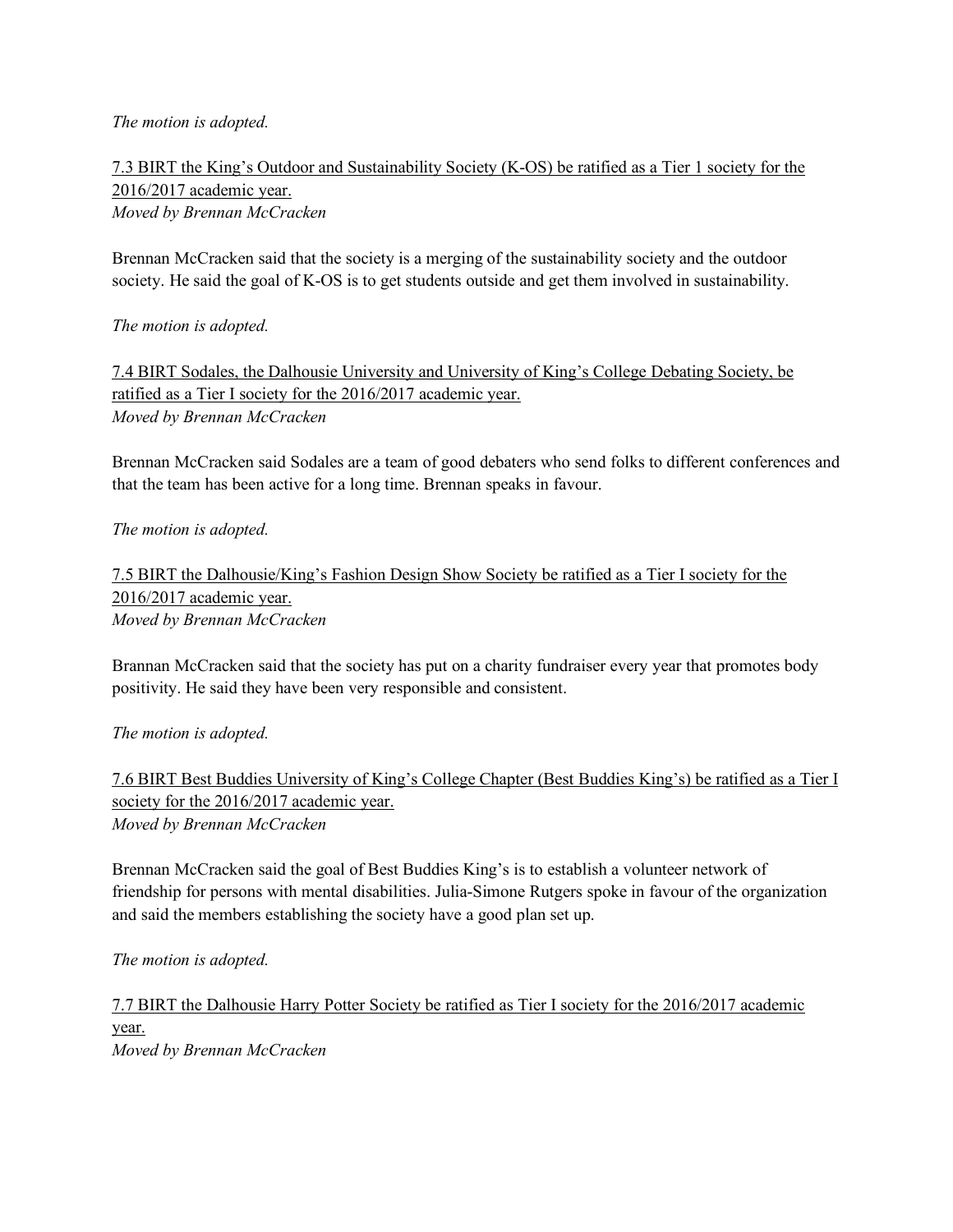#### *The motion is adopted.*

7.3 BIRT the King's Outdoor and Sustainability Society (K-OS) be ratified as a Tier 1 society for the 2016/2017 academic year. *Moved by Brennan McCracken*

Brennan McCracken said that the society is a merging of the sustainability society and the outdoor society. He said the goal of K-OS is to get students outside and get them involved in sustainability.

*The motion is adopted.* 

7.4 BIRT Sodales, the Dalhousie University and University of King's College Debating Society, be ratified as a Tier I society for the 2016/2017 academic year. *Moved by Brennan McCracken*

Brennan McCracken said Sodales are a team of good debaters who send folks to different conferences and that the team has been active for a long time. Brennan speaks in favour.

*The motion is adopted.* 

7.5 BIRT the Dalhousie/King's Fashion Design Show Society be ratified as a Tier I society for the 2016/2017 academic year. *Moved by Brennan McCracken*

Brannan McCracken said that the society has put on a charity fundraiser every year that promotes body positivity. He said they have been very responsible and consistent.

*The motion is adopted.* 

7.6 BIRT Best Buddies University of King's College Chapter (Best Buddies King's) be ratified as a Tier I society for the 2016/2017 academic year. *Moved by Brennan McCracken*

Brennan McCracken said the goal of Best Buddies King's is to establish a volunteer network of friendship for persons with mental disabilities. Julia-Simone Rutgers spoke in favour of the organization and said the members establishing the society have a good plan set up.

*The motion is adopted.* 

7.7 BIRT the Dalhousie Harry Potter Society be ratified as Tier I society for the 2016/2017 academic year. *Moved by Brennan McCracken*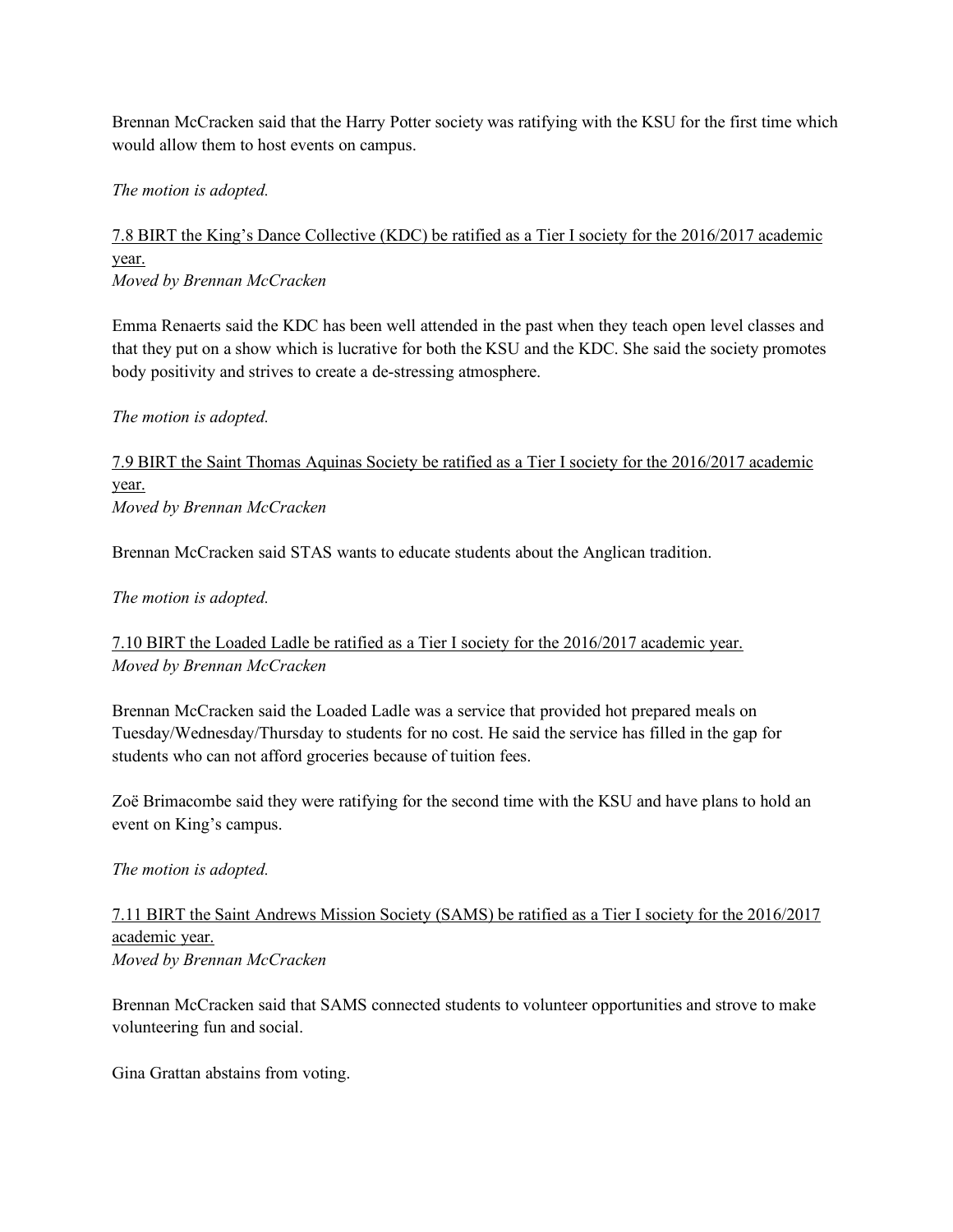Brennan McCracken said that the Harry Potter society was ratifying with the KSU for the first time which would allow them to host events on campus.

*The motion is adopted.* 

7.8 BIRT the King's Dance Collective (KDC) be ratified as a Tier I society for the 2016/2017 academic year. *Moved by Brennan McCracken*

Emma Renaerts said the KDC has been well attended in the past when they teach open level classes and that they put on a show which is lucrative for both the KSU and the KDC. She said the society promotes body positivity and strives to create a de-stressing atmosphere.

### *The motion is adopted.*

7.9 BIRT the Saint Thomas Aquinas Society be ratified as a Tier I society for the 2016/2017 academic year. *Moved by Brennan McCracken*

Brennan McCracken said STAS wants to educate students about the Anglican tradition.

#### *The motion is adopted.*

7.10 BIRT the Loaded Ladle be ratified as a Tier I society for the 2016/2017 academic year. *Moved by Brennan McCracken*

Brennan McCracken said the Loaded Ladle was a service that provided hot prepared meals on Tuesday/Wednesday/Thursday to students for no cost. He said the service has filled in the gap for students who can not afford groceries because of tuition fees.

Zoë Brimacombe said they were ratifying for the second time with the KSU and have plans to hold an event on King's campus.

#### *The motion is adopted.*

## 7.11 BIRT the Saint Andrews Mission Society (SAMS) be ratified as a Tier I society for the 2016/2017 academic year. *Moved by Brennan McCracken*

Brennan McCracken said that SAMS connected students to volunteer opportunities and strove to make volunteering fun and social.

Gina Grattan abstains from voting.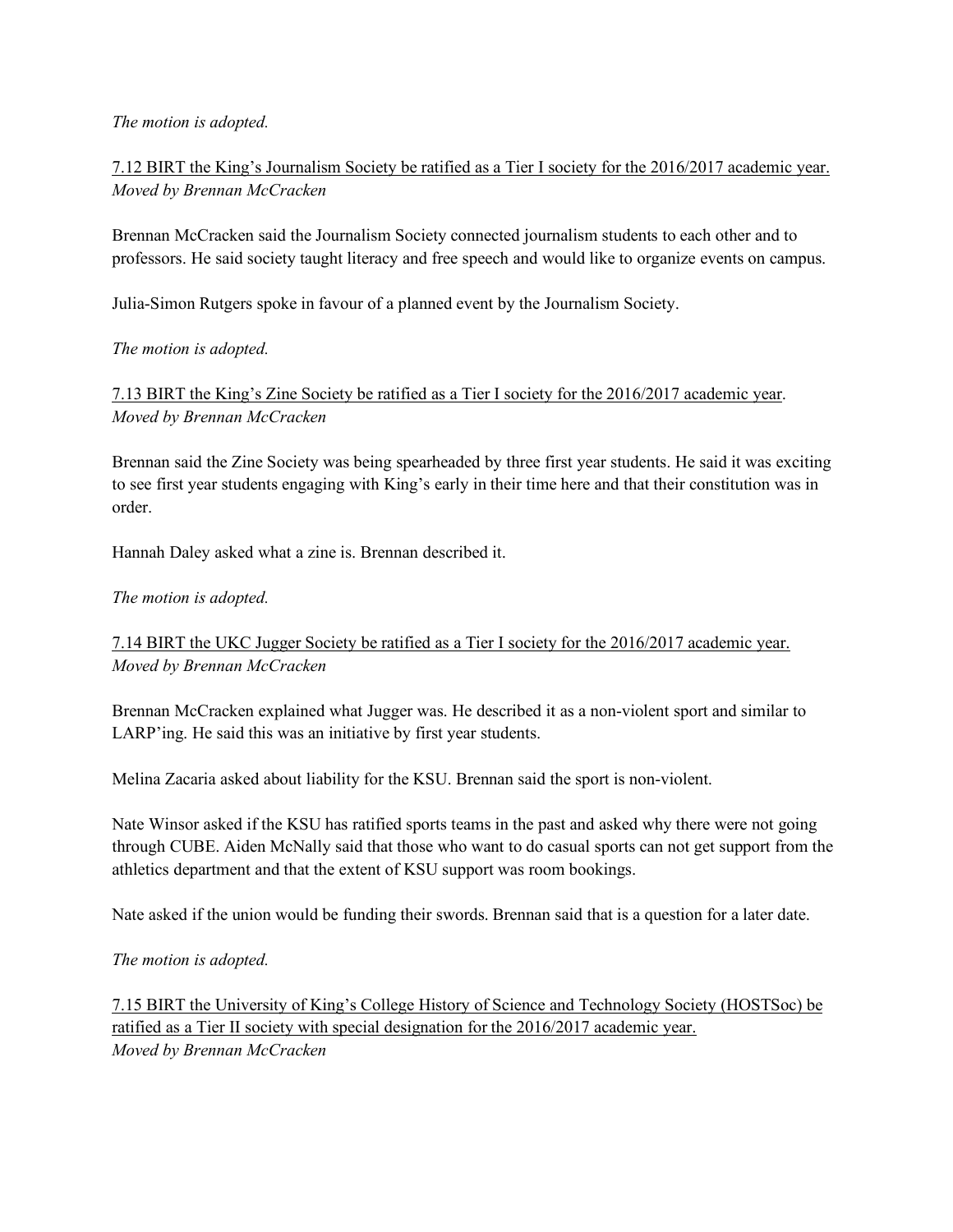#### *The motion is adopted.*

7.12 BIRT the King's Journalism Society be ratified as a Tier I society for the 2016/2017 academic year. *Moved by Brennan McCracken*

Brennan McCracken said the Journalism Society connected journalism students to each other and to professors. He said society taught literacy and free speech and would like to organize events on campus.

Julia-Simon Rutgers spoke in favour of a planned event by the Journalism Society.

*The motion is adopted.* 

7.13 BIRT the King's Zine Society be ratified as a Tier I society for the 2016/2017 academic year. *Moved by Brennan McCracken*

Brennan said the Zine Society was being spearheaded by three first year students. He said it was exciting to see first year students engaging with King's early in their time here and that their constitution was in order.

Hannah Daley asked what a zine is. Brennan described it.

### *The motion is adopted.*

7.14 BIRT the UKC Jugger Society be ratified as a Tier I society for the 2016/2017 academic year. *Moved by Brennan McCracken*

Brennan McCracken explained what Jugger was. He described it as a non-violent sport and similar to LARP'ing. He said this was an initiative by first year students.

Melina Zacaria asked about liability for the KSU. Brennan said the sport is non-violent.

Nate Winsor asked if the KSU has ratified sports teams in the past and asked why there were not going through CUBE. Aiden McNally said that those who want to do casual sports can not get support from the athletics department and that the extent of KSU support was room bookings.

Nate asked if the union would be funding their swords. Brennan said that is a question for a later date.

*The motion is adopted.* 

7.15 BIRT the University of King's College History of Science and Technology Society (HOSTSoc) be ratified as a Tier II society with special designation for the 2016/2017 academic year. *Moved by Brennan McCracken*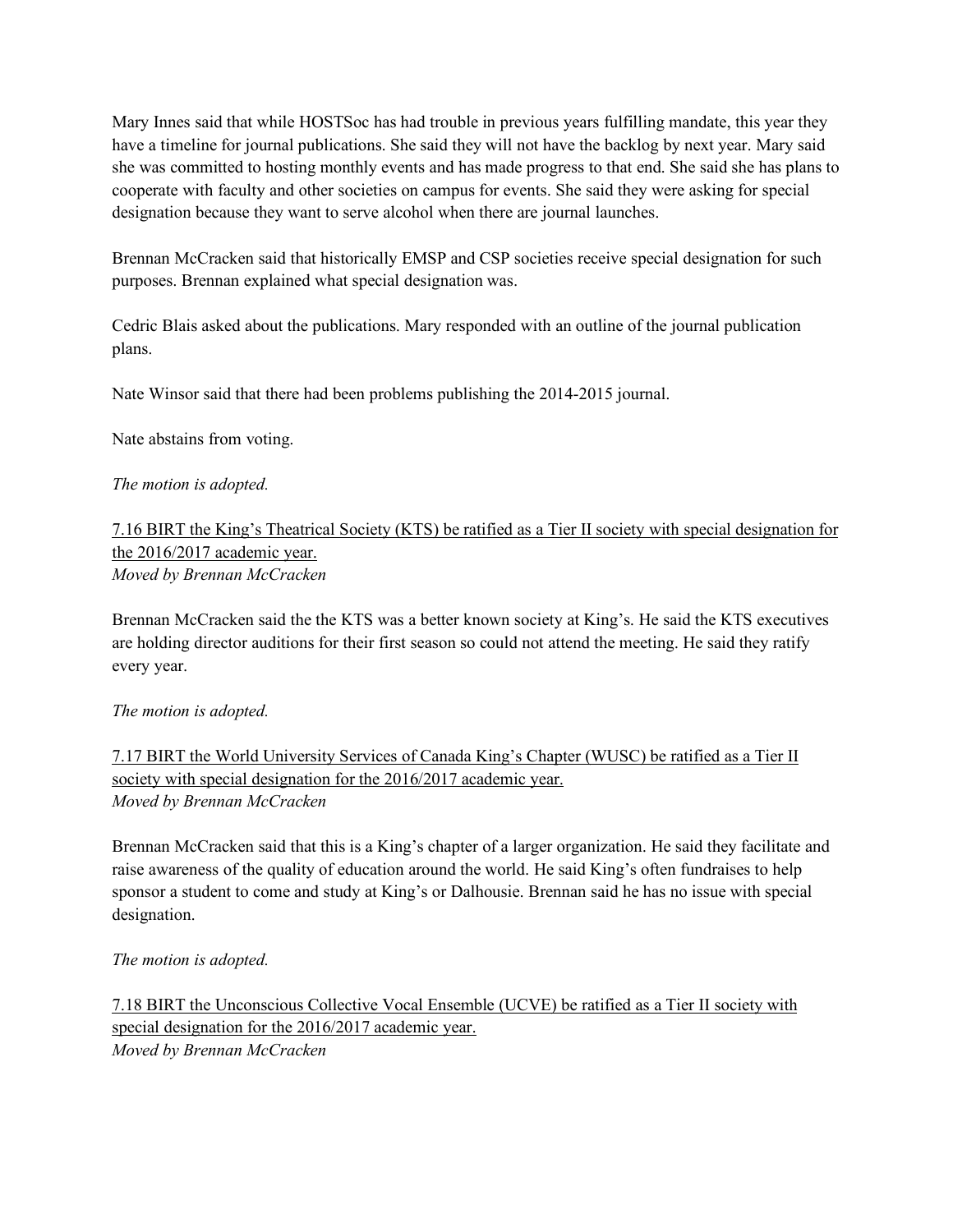Mary Innes said that while HOSTSoc has had trouble in previous years fulfilling mandate, this year they have a timeline for journal publications. She said they will not have the backlog by next year. Mary said she was committed to hosting monthly events and has made progress to that end. She said she has plans to cooperate with faculty and other societies on campus for events. She said they were asking for special designation because they want to serve alcohol when there are journal launches.

Brennan McCracken said that historically EMSP and CSP societies receive special designation for such purposes. Brennan explained what special designation was.

Cedric Blais asked about the publications. Mary responded with an outline of the journal publication plans.

Nate Winsor said that there had been problems publishing the 2014-2015 journal.

Nate abstains from voting.

## *The motion is adopted.*

## 7.16 BIRT the King's Theatrical Society (KTS) be ratified as a Tier II society with special designation for the 2016/2017 academic year. *Moved by Brennan McCracken*

Brennan McCracken said the the KTS was a better known society at King's. He said the KTS executives are holding director auditions for their first season so could not attend the meeting. He said they ratify every year.

### *The motion is adopted.*

## 7.17 BIRT the World University Services of Canada King's Chapter (WUSC) be ratified as a Tier II society with special designation for the 2016/2017 academic year. *Moved by Brennan McCracken*

Brennan McCracken said that this is a King's chapter of a larger organization. He said they facilitate and raise awareness of the quality of education around the world. He said King's often fundraises to help sponsor a student to come and study at King's or Dalhousie. Brennan said he has no issue with special designation.

*The motion is adopted.* 

7.18 BIRT the Unconscious Collective Vocal Ensemble (UCVE) be ratified as a Tier II society with special designation for the 2016/2017 academic year. *Moved by Brennan McCracken*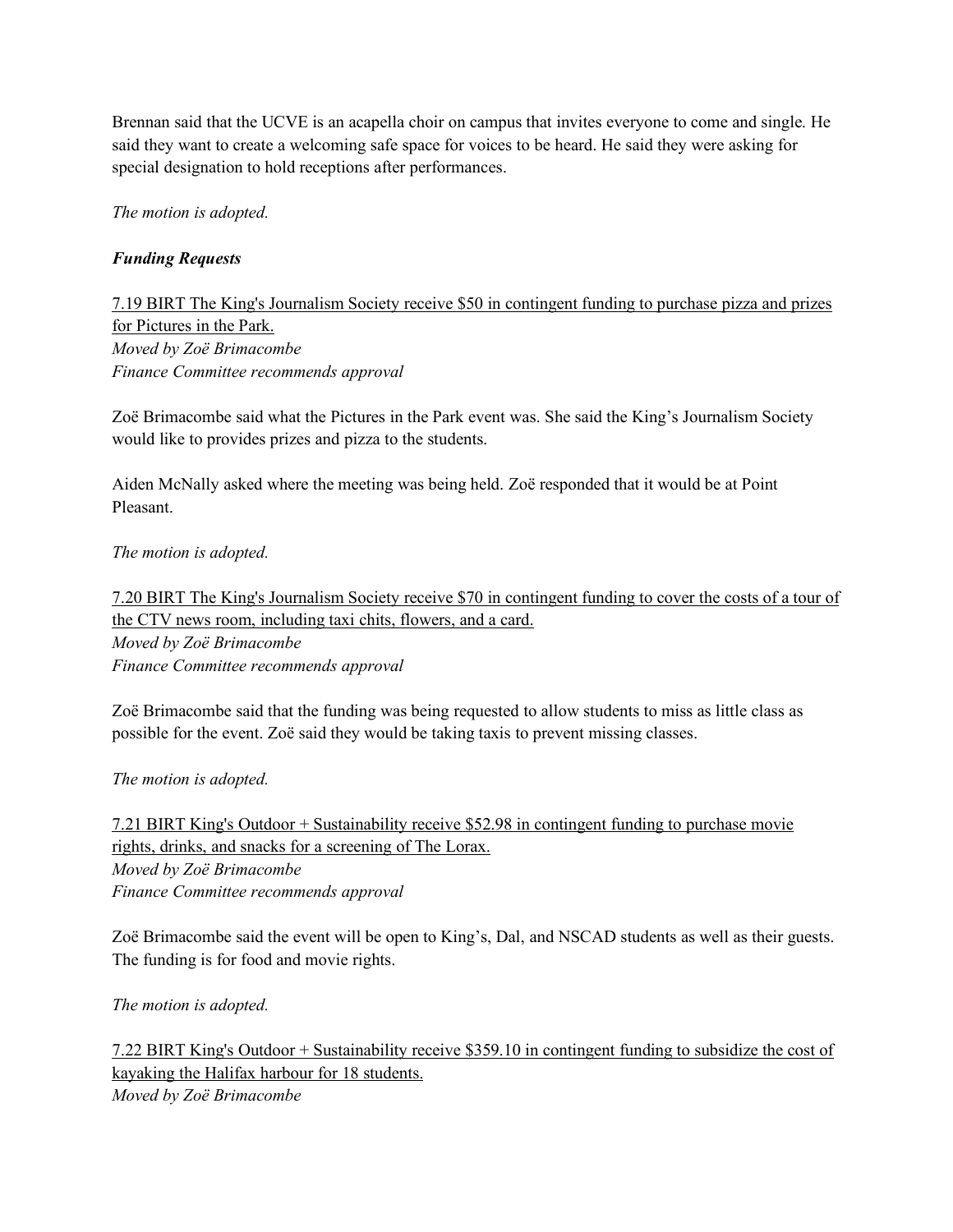Brennan said that the UCVE is an acapella choir on campus that invites everyone to come and single. He said they want to create a welcoming safe space for voices to be heard. He said they were asking for special designation to hold receptions after performances.

*The motion is adopted.*

## *Funding Requests*

7.19 BIRT The King's Journalism Society receive \$50 in contingent funding to purchase pizza and prizes for Pictures in the Park. *Moved by Zoë Brimacombe Finance Committee recommends approval*

Zoë Brimacombe said what the Pictures in the Park event was. She said the King's Journalism Society would like to provides prizes and pizza to the students.

Aiden McNally asked where the meeting was being held. Zoë responded that it would be at Point Pleasant.

*The motion is adopted.* 

7.20 BIRT The King's Journalism Society receive \$70 in contingent funding to cover the costs of a tour of the CTV news room, including taxi chits, flowers, and a card.

*Moved by Zoë Brimacombe Finance Committee recommends approval*

Zoë Brimacombe said that the funding was being requested to allow students to miss as little class as possible for the event. Zoë said they would be taking taxis to prevent missing classes.

*The motion is adopted.* 

7.21 BIRT King's Outdoor + Sustainability receive \$52.98 in contingent funding to purchase movie rights, drinks, and snacks for a screening of The Lorax. *Moved by Zoë Brimacombe Finance Committee recommends approval*

Zoë Brimacombe said the event will be open to King's, Dal, and NSCAD students as well as their guests. The funding is for food and movie rights.

*The motion is adopted.* 

7.22 BIRT King's Outdoor + Sustainability receive \$359.10 in contingent funding to subsidize the cost of kayaking the Halifax harbour for 18 students. *Moved by Zoë Brimacombe*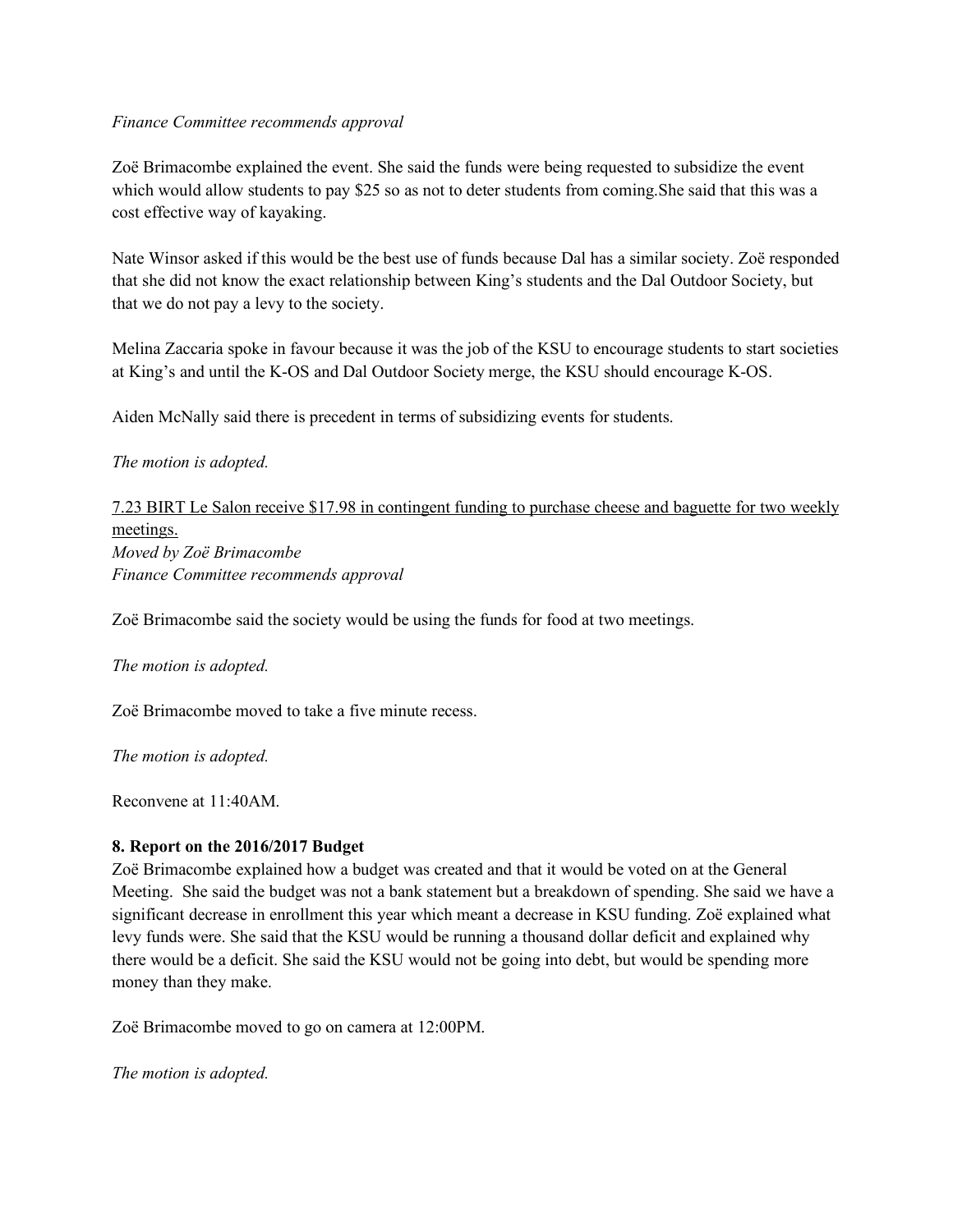#### *Finance Committee recommends approval*

Zoë Brimacombe explained the event. She said the funds were being requested to subsidize the event which would allow students to pay \$25 so as not to deter students from coming. She said that this was a cost effective way of kayaking.

Nate Winsor asked if this would be the best use of funds because Dal has a similar society. Zoë responded that she did not know the exact relationship between King's students and the Dal Outdoor Society, but that we do not pay a levy to the society.

Melina Zaccaria spoke in favour because it was the job of the KSU to encourage students to start societies at King's and until the K-OS and Dal Outdoor Society merge, the KSU should encourage K-OS.

Aiden McNally said there is precedent in terms of subsidizing events for students.

### *The motion is adopted.*

7.23 BIRT Le Salon receive \$17.98 in contingent funding to purchase cheese and baguette for two weekly meetings. *Moved by Zoë Brimacombe Finance Committee recommends approval*

Zoë Brimacombe said the society would be using the funds for food at two meetings.

*The motion is adopted.* 

Zoë Brimacombe moved to take a five minute recess.

*The motion is adopted.* 

Reconvene at 11:40AM.

### **8. Report on the 2016/2017 Budget**

Zoë Brimacombe explained how a budget was created and that it would be voted on at the General Meeting. She said the budget was not a bank statement but a breakdown of spending. She said we have a significant decrease in enrollment this year which meant a decrease in KSU funding. Zoë explained what levy funds were. She said that the KSU would be running a thousand dollar deficit and explained why there would be a deficit. She said the KSU would not be going into debt, but would be spending more money than they make.

Zoë Brimacombe moved to go on camera at 12:00PM.

*The motion is adopted.*